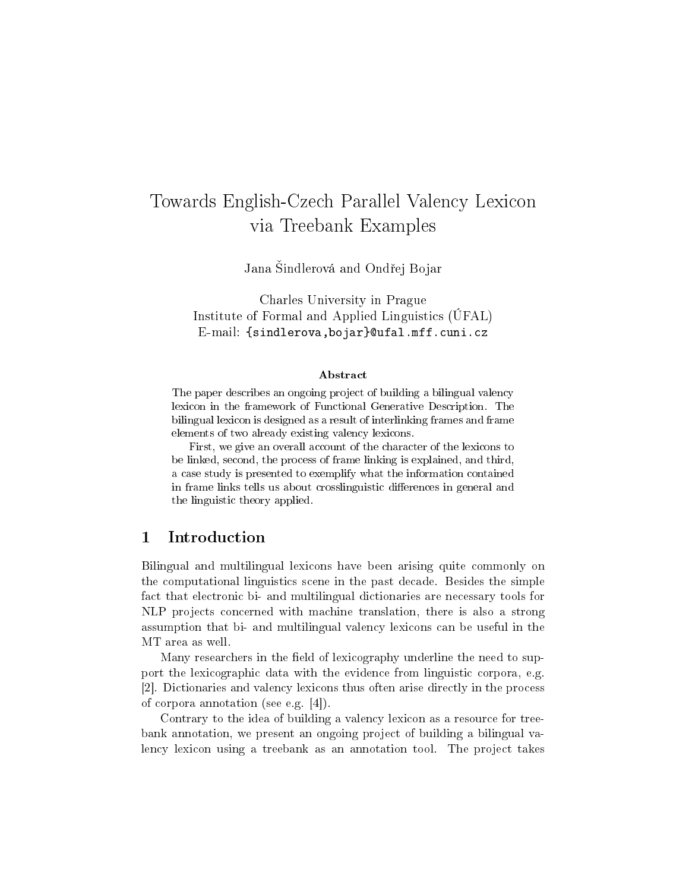# Towards English-Czech Parallel Valency Lexicon via Treebank Examples

Jana Sindlerová and Ondřej Bojar

Charles University in Prague Institute of Formal and Applied Linguistics (ÚFAL) E-mail: {sindlerova,bojar}@ufal.mff.cuni.cz

#### Abstract

The paper describes an ongoing project of building a bilingual valency lexicon in the framework of Functional Generative Description. The bilingual lexicon is designed as a result of interlinking frames and frame elements of two already existing valency lexicons.

First, we give an overall account of the character of the lexicons to be linked, second, the process of frame linking is explained, and third, a case study is presented to exemplify what the information contained in frame links tells us about crosslinguistic differences in general and the linguistic theory applied.

## 1 Introduction

Bilingual and multilingual lexicons have been arising quite commonly on the computational linguistics scene in the past decade. Besides the simple fact that electronic bi- and multilingual dictionaries are necessary tools for NLP projects concerned with machine translation, there is also a strong assumption that bi- and multilingual valency lexicons can be useful in the MT area as well.

Many researchers in the field of lexicography underline the need to support the lexicographic data with the evidence from linguistic corpora, e.g. [2]. Dictionaries and valency lexicons thus often arise directly in the process of corpora annotation (see e.g. [4]).

Contrary to the idea of building a valency lexicon as a resource for treebank annotation, we present an ongoing project of building a bilingual valency lexicon using a treebank as an annotation tool. The project takes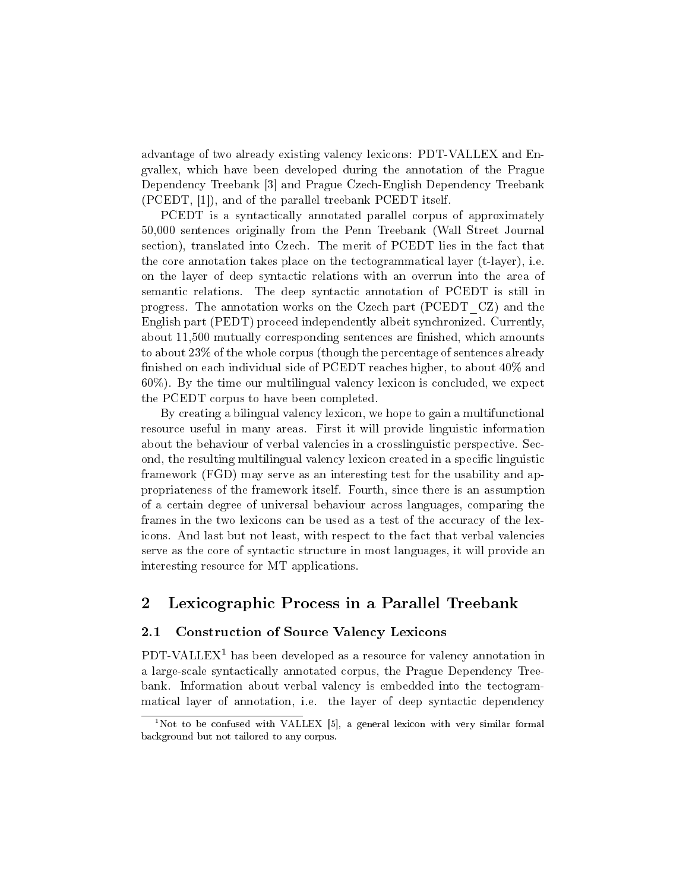advantage of two already existing valency lexicons: PDT-VALLEX and Engvallex, which have been developed during the annotation of the Prague Dependency Treebank [3] and Prague Czech-English Dependency Treebank (PCEDT, [1]), and of the parallel treebank PCEDT itself.

PCEDT is a syntactically annotated parallel corpus of approximately 50,000 sentences originally from the Penn Treebank (Wall Street Journal section), translated into Czech. The merit of PCEDT lies in the fact that the core annotation takes place on the tectogrammatical layer (t-layer), i.e. on the layer of deep syntactic relations with an overrun into the area of semantic relations. The deep syntactic annotation of PCEDT is still in progress. The annotation works on the Czech part (PCEDT\_CZ) and the English part (PEDT) proceed independently albeit synchronized. Currently, about 11,500 mutually corresponding sentences are finished, which amounts to about 23% of the whole corpus (though the percentage of sentences already finished on each individual side of PCEDT reaches higher, to about  $40\%$  and 60%). By the time our multilingual valency lexicon is concluded, we expect the PCEDT corpus to have been completed.

By creating a bilingual valency lexicon, we hope to gain a multifunctional resource useful in many areas. First it will provide linguistic information about the behaviour of verbal valencies in a crosslinguistic perspective. Second, the resulting multilingual valency lexicon created in a specific linguistic framework (FGD) may serve as an interesting test for the usability and appropriateness of the framework itself. Fourth, since there is an assumption of a certain degree of universal behaviour across languages, comparing the frames in the two lexicons can be used as a test of the accuracy of the lexicons. And last but not least, with respect to the fact that verbal valencies serve as the core of syntactic structure in most languages, it will provide an interesting resource for MT applications.

# 2 Lexicographic Process in a Parallel Treebank

### 2.1 Construction of Source Valency Lexicons

PDT-VALLEX<sup>1</sup> has been developed as a resource for valency annotation in a large-scale syntactically annotated corpus, the Prague Dependency Treebank. Information about verbal valency is embedded into the tectogrammatical layer of annotation, i.e. the layer of deep syntactic dependency

 $1$ Not to be confused with VALLEX [5], a general lexicon with very similar formal background but not tailored to any corpus.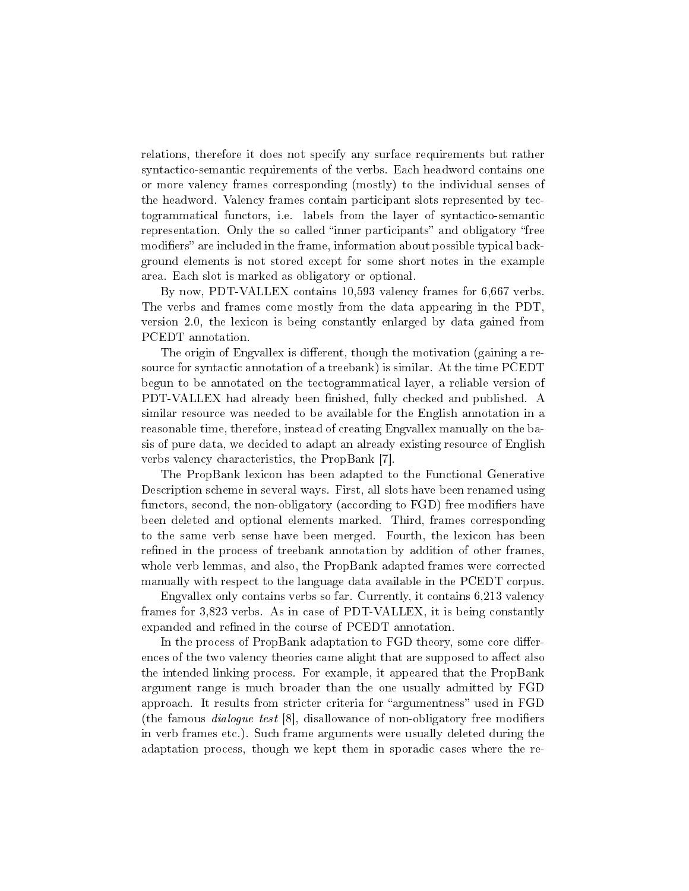relations, therefore it does not specify any surface requirements but rather syntactico-semantic requirements of the verbs. Each headword contains one or more valency frames corresponding (mostly) to the individual senses of the headword. Valency frames contain participant slots represented by tectogrammatical functors, i.e. labels from the layer of syntactico-semantic representation. Only the so called "inner participants" and obligatory "free modifiers" are included in the frame, information about possible typical background elements is not stored except for some short notes in the example area. Each slot is marked as obligatory or optional.

By now, PDT-VALLEX contains 10,593 valency frames for 6,667 verbs. The verbs and frames come mostly from the data appearing in the PDT, version 2.0, the lexicon is being constantly enlarged by data gained from PCEDT annotation.

The origin of Engvallex is different, though the motivation (gaining a resource for syntactic annotation of a treebank) is similar. At the time PCEDT begun to be annotated on the tectogrammatical layer, a reliable version of PDT-VALLEX had already been finished, fully checked and published. A similar resource was needed to be available for the English annotation in a reasonable time, therefore, instead of creating Engvallex manually on the basis of pure data, we decided to adapt an already existing resource of English verbs valency characteristics, the PropBank [7].

The PropBank lexicon has been adapted to the Functional Generative Description scheme in several ways. First, all slots have been renamed using functors, second, the non-obligatory (according to FGD) free modifiers have been deleted and optional elements marked. Third, frames corresponding to the same verb sense have been merged. Fourth, the lexicon has been refined in the process of treebank annotation by addition of other frames. whole verb lemmas, and also, the PropBank adapted frames were corrected manually with respect to the language data available in the PCEDT corpus.

Engvallex only contains verbs so far. Currently, it contains 6,213 valency frames for 3,823 verbs. As in case of PDT-VALLEX, it is being constantly expanded and refined in the course of PCEDT annotation.

In the process of PropBank adaptation to FGD theory, some core differences of the two valency theories came alight that are supposed to affect also the intended linking process. For example, it appeared that the PropBank argument range is much broader than the one usually admitted by FGD approach. It results from stricter criteria for "argumentness" used in FGD (the famous *dialogue test*  $[8]$ , disallowance of non-obligatory free modifiers in verb frames etc.). Such frame arguments were usually deleted during the adaptation process, though we kept them in sporadic cases where the re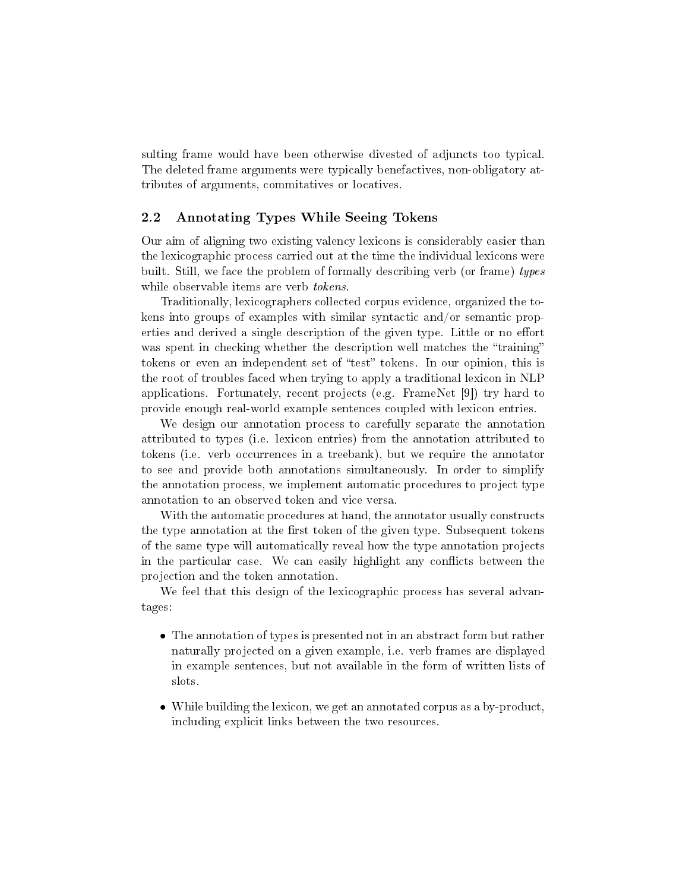sulting frame would have been otherwise divested of adjuncts too typical. The deleted frame arguments were typically benefactives, non-obligatory attributes of arguments, commitatives or locatives.

#### 2.2 Annotating Types While Seeing Tokens

Our aim of aligning two existing valency lexicons is considerably easier than the lexicographic process carried out at the time the individual lexicons were built. Still, we face the problem of formally describing verb (or frame) types while observable items are verb *tokens*.

Traditionally, lexicographers collected corpus evidence, organized the tokens into groups of examples with similar syntactic and/or semantic properties and derived a single description of the given type. Little or no effort was spent in checking whether the description well matches the "training" tokens or even an independent set of "test" tokens. In our opinion, this is the root of troubles faced when trying to apply a traditional lexicon in NLP applications. Fortunately, recent projects (e.g. FrameNet [9]) try hard to provide enough real-world example sentences coupled with lexicon entries.

We design our annotation process to carefully separate the annotation attributed to types (i.e. lexicon entries) from the annotation attributed to tokens (i.e. verb occurrences in a treebank), but we require the annotator to see and provide both annotations simultaneously. In order to simplify the annotation process, we implement automatic procedures to project type annotation to an observed token and vice versa.

With the automatic procedures at hand, the annotator usually constructs the type annotation at the first token of the given type. Subsequent tokens of the same type will automatically reveal how the type annotation projects in the particular case. We can easily highlight any conflicts between the projection and the token annotation.

We feel that this design of the lexicographic process has several advantages:

- The annotation of types is presented not in an abstract form but rather naturally projected on a given example, i.e. verb frames are displayed in example sentences, but not available in the form of written lists of slots.
- While building the lexicon, we get an annotated corpus as a by-product, including explicit links between the two resources.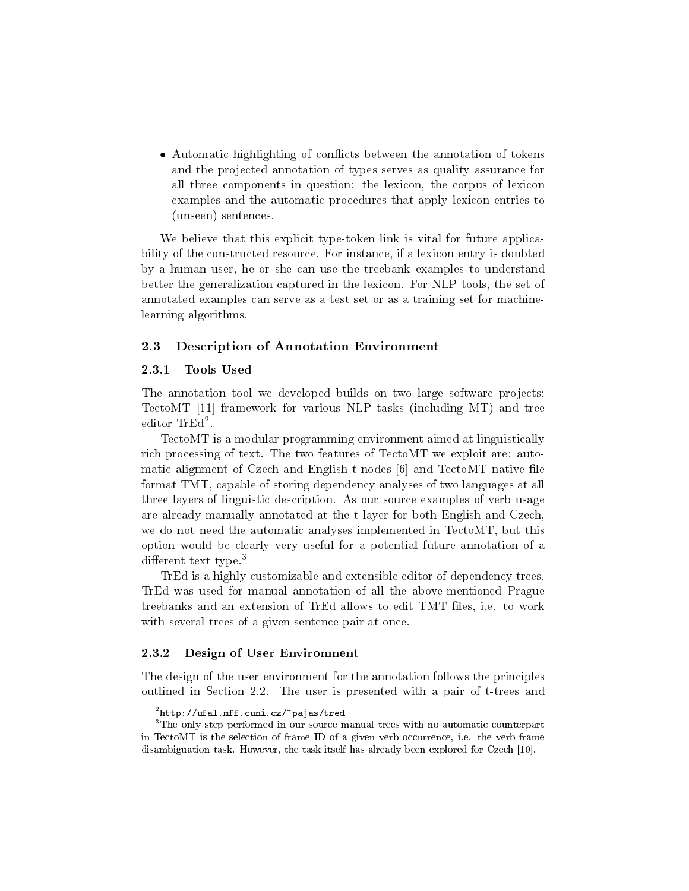• Automatic highlighting of conflicts between the annotation of tokens and the projected annotation of types serves as quality assurance for all three components in question: the lexicon, the corpus of lexicon examples and the automatic procedures that apply lexicon entries to (unseen) sentences.

We believe that this explicit type-token link is vital for future applicability of the constructed resource. For instance, if a lexicon entry is doubted by a human user, he or she can use the treebank examples to understand better the generalization captured in the lexicon. For NLP tools, the set of annotated examples can serve as a test set or as a training set for machinelearning algorithms.

#### 2.3 Description of Annotation Environment

#### 2.3.1 Tools Used

The annotation tool we developed builds on two large software projects: TectoMT [11] framework for various NLP tasks (including MT) and tree editor TrEd<sup>2</sup> .

TectoMT is a modular programming environment aimed at linguistically rich processing of text. The two features of TectoMT we exploit are: automatic alignment of Czech and English t-nodes [6] and TectoMT native file format TMT, capable of storing dependency analyses of two languages at all three layers of linguistic description. As our source examples of verb usage are already manually annotated at the t-layer for both English and Czech, we do not need the automatic analyses implemented in TectoMT, but this option would be clearly very useful for a potential future annotation of a different text type.<sup>3</sup>

TrEd is a highly customizable and extensible editor of dependency trees. TrEd was used for manual annotation of all the above-mentioned Prague treebanks and an extension of TrEd allows to edit TMT files, i.e. to work with several trees of a given sentence pair at once.

#### 2.3.2 Design of User Environment

The design of the user environment for the annotation follows the principles outlined in Section 2.2. The user is presented with a pair of t-trees and

 $^{2}$ http://ufal.mff.cuni.cz/ $\tilde{ }$ pajas/tred

<sup>&</sup>lt;sup>3</sup>The only step performed in our source manual trees with no automatic counterpart in TectoMT is the selection of frame ID of a given verb occurrence, i.e. the verb-frame disambiguation task. However, the task itself has already been explored for Czech [10].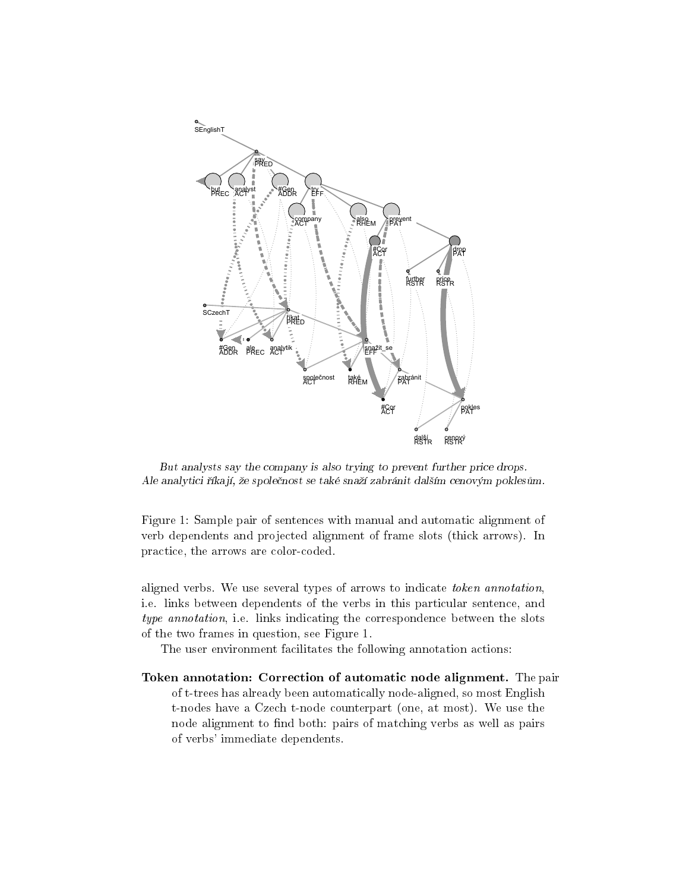

But analysts say the company is also trying to prevent further price drops. Ale analytici říkají, že společnost se také snaží zabránit dalším cenovým poklesům.

Figure 1: Sample pair of sentences with manual and automatic alignment of verb dependents and projected alignment of frame slots (thick arrows). In practice, the arrows are color-coded.

aligned verbs. We use several types of arrows to indicate token annotation, i.e. links between dependents of the verbs in this particular sentence, and type annotation, i.e. links indicating the correspondence between the slots of the two frames in question, see Figure 1.

The user environment facilitates the following annotation actions:

Token annotation: Correction of automatic node alignment. The pair of t-trees has already been automatically node-aligned, so most English t-nodes have a Czech t-node counterpart (one, at most). We use the node alignment to find both: pairs of matching verbs as well as pairs of verbs' immediate dependents.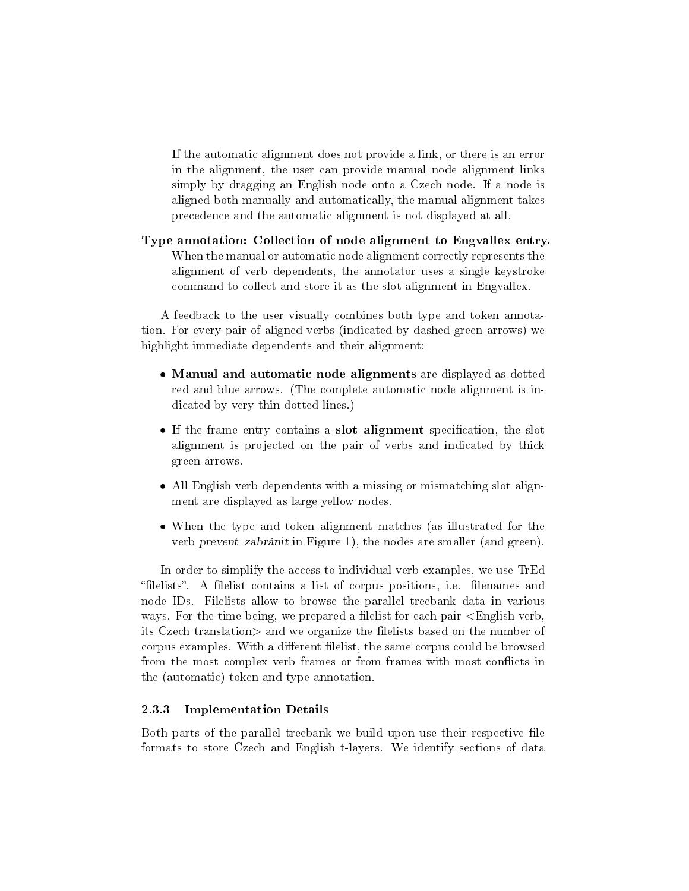If the automatic alignment does not provide a link, or there is an error in the alignment, the user can provide manual node alignment links simply by dragging an English node onto a Czech node. If a node is aligned both manually and automatically, the manual alignment takes precedence and the automatic alignment is not displayed at all.

Type annotation: Collection of node alignment to Engvallex entry. When the manual or automatic node alignment correctly represents the alignment of verb dependents, the annotator uses a single keystroke command to collect and store it as the slot alignment in Engvallex.

A feedback to the user visually combines both type and token annotation. For every pair of aligned verbs (indicated by dashed green arrows) we highlight immediate dependents and their alignment:

- Manual and automatic node alignments are displayed as dotted red and blue arrows. (The complete automatic node alignment is indicated by very thin dotted lines.)
- If the frame entry contains a slot alignment specification, the slot alignment is projected on the pair of verbs and indicated by thick green arrows.
- All English verb dependents with a missing or mismatching slot alignment are displayed as large yellow nodes.
- When the type and token alignment matches (as illustrated for the verb prevent-zabránit in Figure 1), the nodes are smaller (and green).

In order to simplify the access to individual verb examples, we use TrEd "filelists". A filelist contains a list of corpus positions, i.e. filenames and node IDs. Filelists allow to browse the parallel treebank data in various ways. For the time being, we prepared a filelist for each pair  $\leq$ English verb. its Czech translation> and we organize the filelists based on the number of corpus examples. With a different filelist, the same corpus could be browsed from the most complex verb frames or from frames with most conflicts in the (automatic) token and type annotation.

#### 2.3.3 Implementation Details

Both parts of the parallel treebank we build upon use their respective file formats to store Czech and English t-layers. We identify sections of data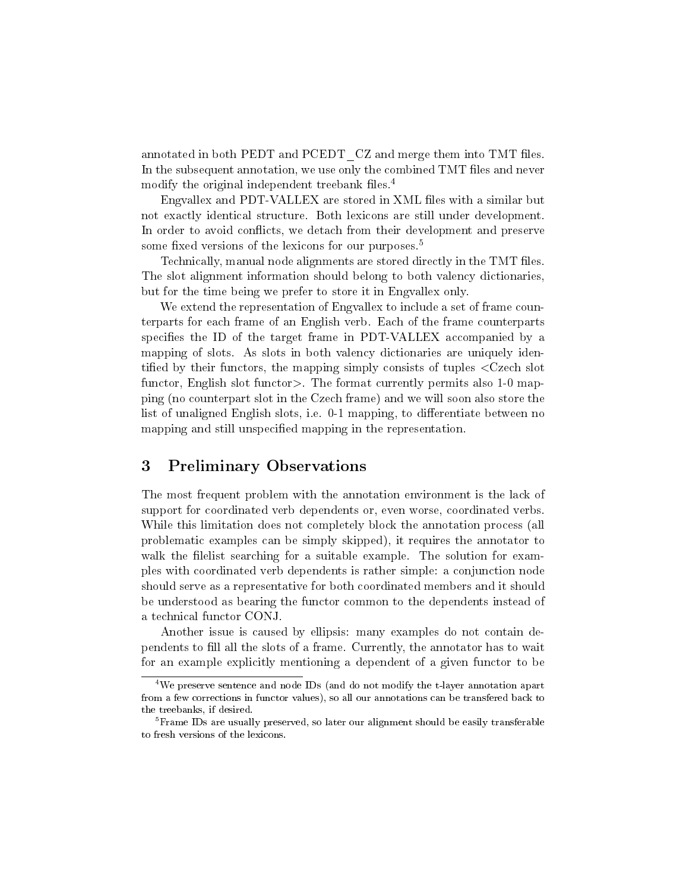annotated in both PEDT and PCEDT CZ and merge them into TMT files. In the subsequent annotation, we use only the combined TMT files and never modify the original independent treebank files. $4$ 

Engvallex and PDT-VALLEX are stored in XML files with a similar but not exactly identical structure. Both lexicons are still under development. In order to avoid conflicts, we detach from their development and preserve some fixed versions of the lexicons for our purposes.<sup>5</sup>

Technically, manual node alignments are stored directly in the TMT files. The slot alignment information should belong to both valency dictionaries, but for the time being we prefer to store it in Engvallex only.

We extend the representation of Engvallex to include a set of frame counterparts for each frame of an English verb. Each of the frame counterparts specifies the ID of the target frame in PDT-VALLEX accompanied by a mapping of slots. As slots in both valency dictionaries are uniquely identified by their functors, the mapping simply consists of tuples  $\langle$ Czech slot functor, English slot functor>. The format currently permits also 1-0 mapping (no counterpart slot in the Czech frame) and we will soon also store the list of unaligned English slots, i.e. 0-1 mapping, to differentiate between no mapping and still unspecified mapping in the representation.

## 3 Preliminary Observations

The most frequent problem with the annotation environment is the lack of support for coordinated verb dependents or, even worse, coordinated verbs. While this limitation does not completely block the annotation process (all problematic examples can be simply skipped), it requires the annotator to walk the filelist searching for a suitable example. The solution for examples with coordinated verb dependents is rather simple: a conjunction node should serve as a representative for both coordinated members and it should be understood as bearing the functor common to the dependents instead of a technical functor CONJ.

Another issue is caused by ellipsis: many examples do not contain dependents to fill all the slots of a frame. Currently, the annotator has to wait for an example explicitly mentioning a dependent of a given functor to be

<sup>4</sup>We preserve sentence and node IDs (and do not modify the t-layer annotation apart from a few corrections in functor values), so all our annotations can be transfered back to the treebanks, if desired.

<sup>&</sup>lt;sup>5</sup>Frame IDs are usually preserved, so later our alignment should be easily transferable to fresh versions of the lexicons.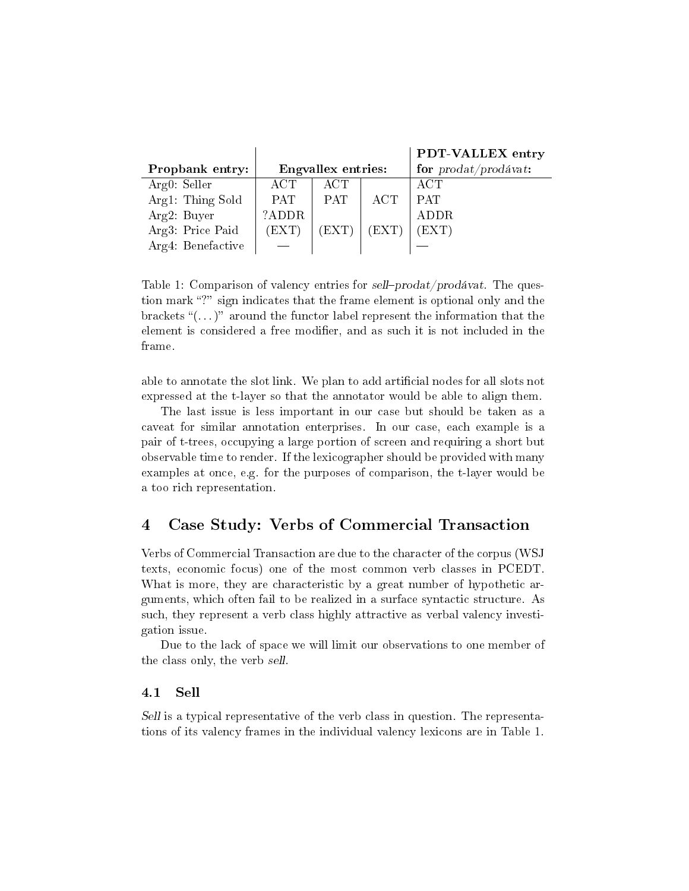|                   |                    |            |       | PDT-VALLEX entry                      |
|-------------------|--------------------|------------|-------|---------------------------------------|
| Propbank entry:   | Engvallex entries: |            |       | for $\text{prodat}/\text{prodávat}$ : |
| Arg0: Seller      | $\rm ACT$          | ACT        |       | ACT                                   |
| Arg1: Thing Sold  | <b>PAT</b>         | <b>PAT</b> | ACT   | <b>PAT</b>                            |
| Arg2: Buyer       | ?ADDR              |            |       | <b>ADDR</b>                           |
| Arg3: Price Paid  | (EXT)              | (EXT)      | (EXT) | (EXT)                                 |
| Arg4: Benefactive |                    |            |       |                                       |

Table 1: Comparison of valency entries for sell-prodat/prodávat. The question mark "?" sign indicates that the frame element is optional only and the brackets " $(\ldots)$ " around the functor label represent the information that the element is considered a free modifier, and as such it is not included in the frame.

able to annotate the slot link. We plan to add articial nodes for all slots not expressed at the t-layer so that the annotator would be able to align them.

The last issue is less important in our case but should be taken as a caveat for similar annotation enterprises. In our case, each example is a pair of t-trees, occupying a large portion of screen and requiring a short but observable time to render. If the lexicographer should be provided with many examples at once, e.g. for the purposes of comparison, the t-layer would be a too rich representation.

# 4 Case Study: Verbs of Commercial Transaction

Verbs of Commercial Transaction are due to the character of the corpus (WSJ texts, economic focus) one of the most common verb classes in PCEDT. What is more, they are characteristic by a great number of hypothetic arguments, which often fail to be realized in a surface syntactic structure. As such, they represent a verb class highly attractive as verbal valency investigation issue.

Due to the lack of space we will limit our observations to one member of the class only, the verb sell.

#### 4.1 Sell

Sell is a typical representative of the verb class in question. The representations of its valency frames in the individual valency lexicons are in Table 1.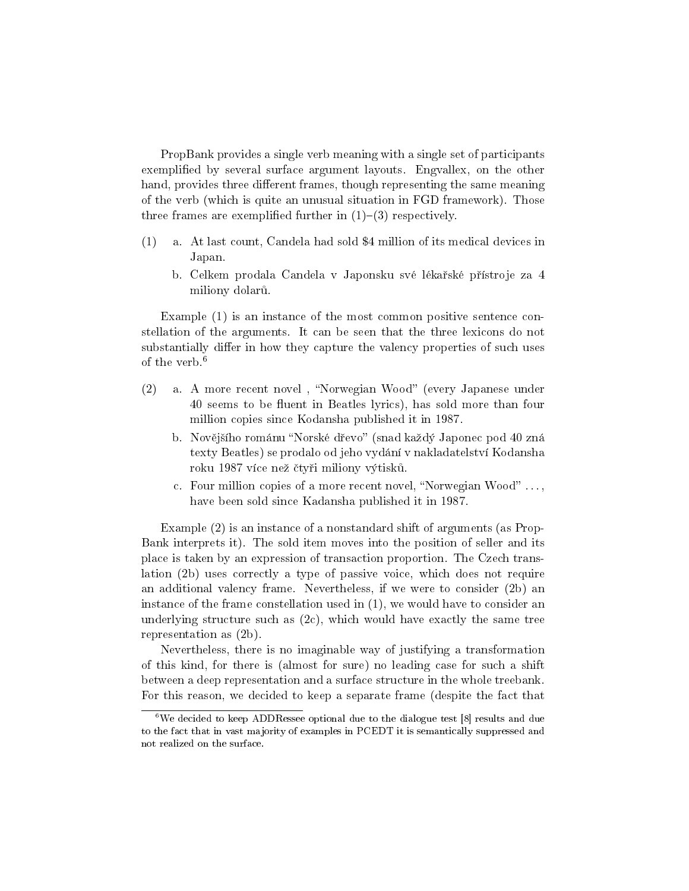PropBank provides a single verb meaning with a single set of participants exemplied by several surface argument layouts. Engvallex, on the other hand, provides three different frames, though representing the same meaning of the verb (which is quite an unusual situation in FGD framework). Those three frames are exemplified further in  $(1)-(3)$  respectively.

- (1) a. At last count, Candela had sold \$4 million of its medical devices in Japan.
	- b. Celkem prodala Candela v Japonsku své lékařské přístroje za 4 miliony dolarů.

Example (1) is an instance of the most common positive sentence constellation of the arguments. It can be seen that the three lexicons do not substantially differ in how they capture the valency properties of such uses of the verb.<sup>6</sup>

- (2) a. A more recent novel, "Norwegian Wood" (every Japanese under 40 seems to be fluent in Beatles lyrics), has sold more than four million copies since Kodansha published it in 1987.
	- b. Novějšího románu "Norské dřevo" (snad každý Japonec pod 40 zná texty Beatles) se prodalo od jeho vydání v nakladatelství Kodansha roku 1987 více než čtyři miliony výtisků.
	- c. Four million copies of a more recent novel, "Norwegian Wood"  $\dots$ , have been sold since Kadansha published it in 1987.

Example (2) is an instance of a nonstandard shift of arguments (as Prop-Bank interprets it). The sold item moves into the position of seller and its place is taken by an expression of transaction proportion. The Czech translation (2b) uses correctly a type of passive voice, which does not require an additional valency frame. Nevertheless, if we were to consider (2b) an instance of the frame constellation used in (1), we would have to consider an underlying structure such as  $(2c)$ , which would have exactly the same tree representation as (2b).

Nevertheless, there is no imaginable way of justifying a transformation of this kind, for there is (almost for sure) no leading case for such a shift between a deep representation and a surface structure in the whole treebank. For this reason, we decided to keep a separate frame (despite the fact that

 $6$ We decided to keep ADDRessee optional due to the dialogue test [8] results and due to the fact that in vast majority of examples in PCEDT it is semantically suppressed and not realized on the surface.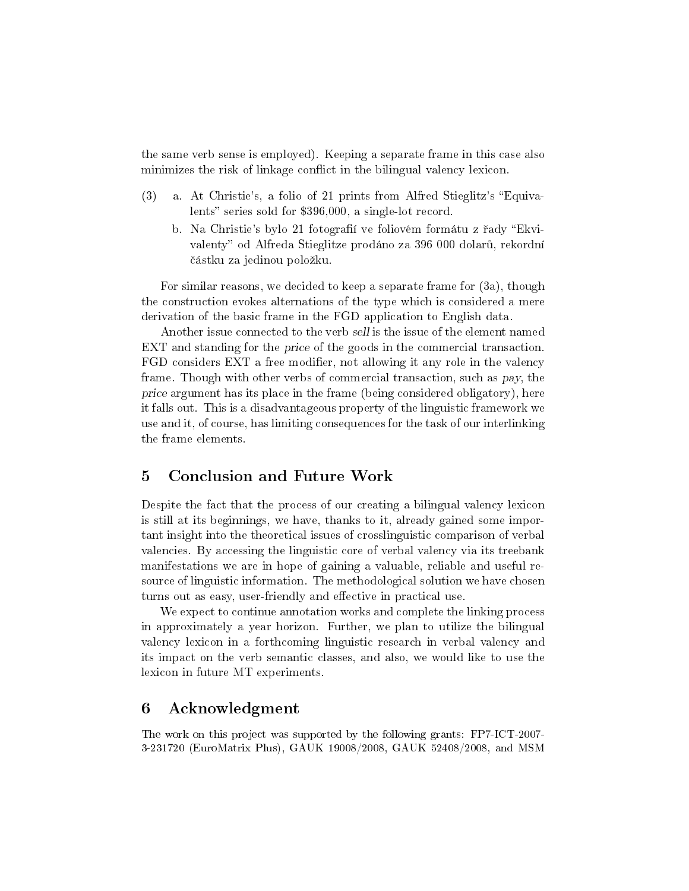the same verb sense is employed). Keeping a separate frame in this case also minimizes the risk of linkage conflict in the bilingual valency lexicon.

- (3) a. At Christie's, a folio of 21 prints from Alfred Stieglitz's "Equivalents" series sold for  $$396,000$ , a single-lot record.
	- b. Na Christie's bylo 21 fotografií ve foliovém formátu z řady "Ekvivalenty" od Alfreda Stieglitze prodáno za 396 000 dolarů, rekordní částku za jedinou položku.

For similar reasons, we decided to keep a separate frame for (3a), though the construction evokes alternations of the type which is considered a mere derivation of the basic frame in the FGD application to English data.

Another issue connected to the verb sell is the issue of the element named EXT and standing for the price of the goods in the commercial transaction. FGD considers EXT a free modifier, not allowing it any role in the valency frame. Though with other verbs of commercial transaction, such as pay, the price argument has its place in the frame (being considered obligatory), here it falls out. This is a disadvantageous property of the linguistic framework we use and it, of course, has limiting consequences for the task of our interlinking the frame elements.

# 5 Conclusion and Future Work

Despite the fact that the process of our creating a bilingual valency lexicon is still at its beginnings, we have, thanks to it, already gained some important insight into the theoretical issues of crosslinguistic comparison of verbal valencies. By accessing the linguistic core of verbal valency via its treebank manifestations we are in hope of gaining a valuable, reliable and useful resource of linguistic information. The methodological solution we have chosen turns out as easy, user-friendly and effective in practical use.

We expect to continue annotation works and complete the linking process in approximately a year horizon. Further, we plan to utilize the bilingual valency lexicon in a forthcoming linguistic research in verbal valency and its impact on the verb semantic classes, and also, we would like to use the lexicon in future MT experiments.

## 6 Acknowledgment

The work on this project was supported by the following grants: FP7-ICT-2007- 3-231720 (EuroMatrix Plus), GAUK 19008/2008, GAUK 52408/2008, and MSM